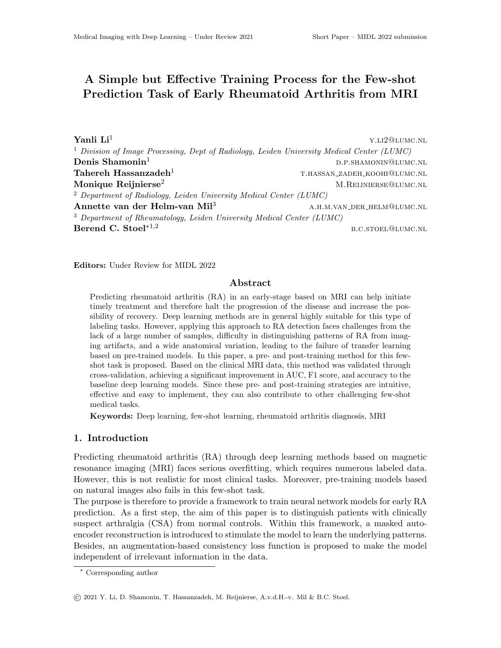# A Simple but Effective Training Process for the Few-shot Prediction Task of Early Rheumatoid Arthritis from MRI

Yanli  $\mathrm{Li}^1$  y.l.12@LUMC.NL <sup>1</sup> Division of Image Processing, Dept of Radiology, Leiden University Medical Center (LUMC) **Denis Shamonin**<sup>1</sup> d.p.shamonin<sup>1</sup> d.p.shamoning p.p.shamonin@lumc.nl  ${\bf Table}$ reh  ${\bf Hassanzadeh^1}$  thas the mass of the mass of the mass of the mass of the mass of the mass of the mass of the mass of the mass of the mass of the mass of the mass of the mass of the mass of the mass of the mass of t Monique Reijnierse<sup>2</sup> M.REIJNIERSE QUUMC.NL <sup>2</sup> Department of Radiology, Leiden University Medical Center (LUMC) Annette van der Helm-van Mil<sup>3</sup> A.H.M.VAN\_DER\_HELM@LUMC.NL <sup>3</sup> Department of Rheumatology, Leiden University Medical Center (LUMC)  $\mathbf{Berend C. \, \mathbf{Stoel}^{*1,2}$  b.c.stoel@lumc.nl

Editors: Under Review for MIDL 2022

## Abstract

Predicting rheumatoid arthritis (RA) in an early-stage based on MRI can help initiate timely treatment and therefore halt the progression of the disease and increase the possibility of recovery. Deep learning methods are in general highly suitable for this type of labeling tasks. However, applying this approach to RA detection faces challenges from the lack of a large number of samples, difficulty in distinguishing patterns of RA from imaging artifacts, and a wide anatomical variation, leading to the failure of transfer learning based on pre-trained models. In this paper, a pre- and post-training method for this fewshot task is proposed. Based on the clinical MRI data, this method was validated through cross-validation, achieving a significant improvement in AUC, F1 score, and accuracy to the baseline deep learning models. Since these pre- and post-training strategies are intuitive, effective and easy to implement, they can also contribute to other challenging few-shot medical tasks.

Keywords: Deep learning, few-shot learning, rheumatoid arthritis diagnosis, MRI

#### 1. Introduction

Predicting rheumatoid arthritis (RA) through deep learning methods based on magnetic resonance imaging (MRI) faces serious overfitting, which requires numerous labeled data. However, this is not realistic for most clinical tasks. Moreover, pre-training models based on natural images also fails in this few-shot task.

The purpose is therefore to provide a framework to train neural network models for early RA prediction. As a first step, the aim of this paper is to distinguish patients with clinically suspect arthralgia (CSA) from normal controls. Within this framework, a masked autoencoder reconstruction is introduced to stimulate the model to learn the underlying patterns. Besides, an augmentation-based consistency loss function is proposed to make the model independent of irrelevant information in the data.

<sup>∗</sup> Corresponding author

<sup>©</sup> 2021 Y. Li, D. Shamonin, T. Hassanzadeh, M. Reijnierse, A.v.d.H.-v. Mil & B.C. Stoel.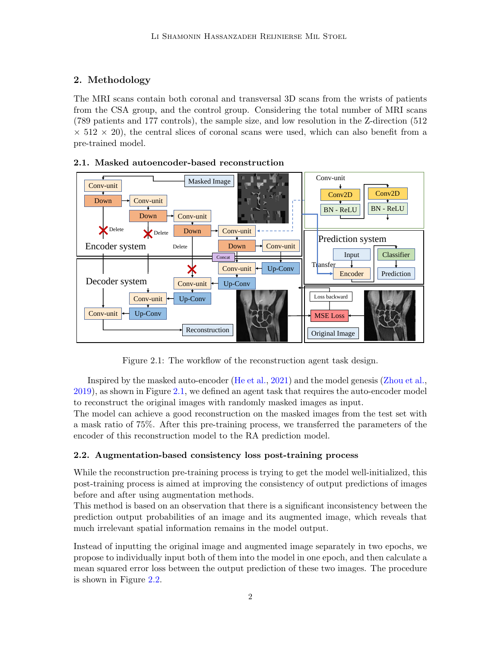## 2. Methodology

The MRI scans contain both coronal and transversal 3D scans from the wrists of patients from the CSA group, and the control group. Considering the total number of MRI scans (789 patients and 177 controls), the sample size, and low resolution in the Z-direction (512  $\times$  512  $\times$  20), the central slices of coronal scans were used, which can also benefit from a pre-trained model.



## <span id="page-1-0"></span>2.1. Masked autoencoder-based reconstruction

Figure 2.1: The workflow of the reconstruction agent task design.

Inspired by the masked auto-encoder [\(He et al.,](#page-2-0) [2021\)](#page-2-0) and the model genesis [\(Zhou et al.,](#page-2-1) [2019\)](#page-2-1), as shown in Figure [2.1,](#page-1-0) we defined an agent task that requires the auto-encoder model to reconstruct the original images with randomly masked images as input.

The model can achieve a good reconstruction on the masked images from the test set with a mask ratio of 75%. After this pre-training process, we transferred the parameters of the encoder of this reconstruction model to the RA prediction model.

## <span id="page-1-1"></span>2.2. Augmentation-based consistency loss post-training process

While the reconstruction pre-training process is trying to get the model well-initialized, this post-training process is aimed at improving the consistency of output predictions of images before and after using augmentation methods.

This method is based on an observation that there is a significant inconsistency between the prediction output probabilities of an image and its augmented image, which reveals that much irrelevant spatial information remains in the model output.

Instead of inputting the original image and augmented image separately in two epochs, we propose to individually input both of them into the model in one epoch, and then calculate a mean squared error loss between the output prediction of these two images. The procedure is shown in Figure [2.2.](#page-1-1)